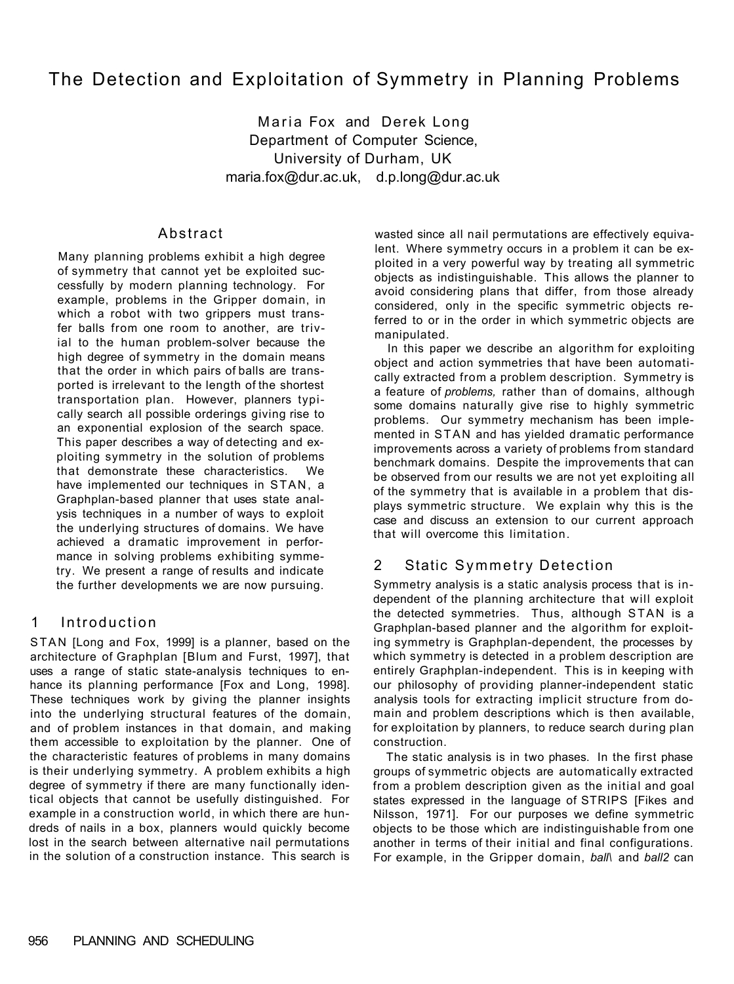# The Detection and Exploitation of Symmetry in Planning Problems

Maria Fox and Derek Long Department of Computer Science, University of Durham, UK maria.fox@dur.ac.uk, d.p.long@dur.ac.uk

### Abstract

Many planning problems exhibit a high degree of symmetry that cannot yet be exploited successfully by modern planning technology. For example, problems in the Gripper domain, in which a robot with two grippers must transfer balls from one room to another, are trivial to the human problem-solver because the high degree of symmetry in the domain means that the order in which pairs of balls are transported is irrelevant to the length of the shortest transportation plan. However, planners typically search all possible orderings giving rise to an exponential explosion of the search space. This paper describes a way of detecting and exploiting symmetry in the solution of problems that demonstrate these characteristics. We have implemented our techniques in STAN, a Graphplan-based planner that uses state analysis techniques in a number of ways to exploit the underlying structures of domains. We have achieved a dramatic improvement in performance in solving problems exhibiting symmetry. We present a range of results and indicate the further developments we are now pursuing.

### 1 Introduction

STAN [Long and Fox, 1999] is a planner, based on the architecture of Graphplan [Blum and Furst, 1997], that uses a range of static state-analysis techniques to enhance its planning performance [Fox and Long, 1998]. These techniques work by giving the planner insights into the underlying structural features of the domain, and of problem instances in that domain, and making them accessible to exploitation by the planner. One of the characteristic features of problems in many domains is their underlying symmetry. A problem exhibits a high degree of symmetry if there are many functionally identical objects that cannot be usefully distinguished. For example in a construction world, in which there are hundreds of nails in a box, planners would quickly become lost in the search between alternative nail permutations in the solution of a construction instance. This search is

wasted since all nail permutations are effectively equivalent. Where symmetry occurs in a problem it can be exploited in a very powerful way by treating all symmetric objects as indistinguishable. This allows the planner to avoid considering plans that differ, from those already considered, only in the specific symmetric objects referred to or in the order in which symmetric objects are manipulated.

In this paper we describe an algorithm for exploiting object and action symmetries that have been automatically extracted from a problem description. Symmetry is a feature of *problems,* rather than of domains, although some domains naturally give rise to highly symmetric problems. Our symmetry mechanism has been implemented in STAN and has yielded dramatic performance improvements across a variety of problems from standard benchmark domains. Despite the improvements that can be observed from our results we are not yet exploiting all of the symmetry that is available in a problem that displays symmetric structure. We explain why this is the case and discuss an extension to our current approach that will overcome this limitation.

### 2 Static Symmetry Detection

Symmetry analysis is a static analysis process that is independent of the planning architecture that will exploit the detected symmetries. Thus, although STAN is a Graphplan-based planner and the algorithm for exploiting symmetry is Graphplan-dependent, the processes by which symmetry is detected in a problem description are entirely Graphplan-independent. This is in keeping with our philosophy of providing planner-independent static analysis tools for extracting implicit structure from domain and problem descriptions which is then available, for exploitation by planners, to reduce search during plan construction.

The static analysis is in two phases. In the first phase groups of symmetric objects are automatically extracted from a problem description given as the initial and goal states expressed in the language of STRIPS [Fikes and Nilsson, 1971]. For our purposes we define symmetric objects to be those which are indistinguishable from one another in terms of their initial and final configurations. For example, in the Gripper domain, *ball\* and *ball2* can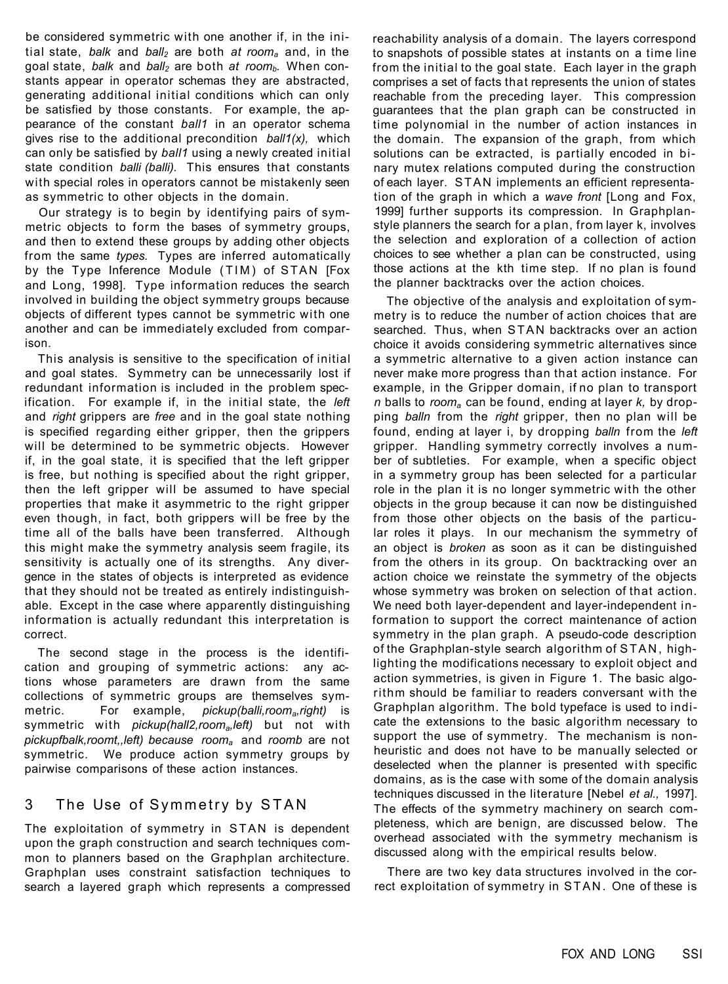be considered symmetric with one another if, in the initial state, *balk* and *ball2* are both *at rooma* and, in the goal state, *balk* and *ball2* are both *at roomb.* When constants appear in operator schemas they are abstracted, generating additional initial conditions which can only be satisfied by those constants. For example, the appearance of the constant *ball1* in an operator schema gives rise to the additional precondition *ball1(x),* which can only be satisfied by *ball1* using a newly created initial state condition *balli (balli).* This ensures that constants with special roles in operators cannot be mistakenly seen as symmetric to other objects in the domain.

Our strategy is to begin by identifying pairs of symmetric objects to form the bases of symmetry groups, and then to extend these groups by adding other objects from the same *types.* Types are inferred automatically by the Type Inference Module (TIM) of STAN [Fox and Long, 1998]. Type information reduces the search involved in building the object symmetry groups because objects of different types cannot be symmetric with one another and can be immediately excluded from comparison.

This analysis is sensitive to the specification of initial and goal states. Symmetry can be unnecessarily lost if redundant information is included in the problem specification. For example if, in the initial state, the *left*  and *right* grippers are *free* and in the goal state nothing is specified regarding either gripper, then the grippers will be determined to be symmetric objects. However if, in the goal state, it is specified that the left gripper is free, but nothing is specified about the right gripper, then the left gripper will be assumed to have special properties that make it asymmetric to the right gripper even though, in fact, both grippers will be free by the time all of the balls have been transferred. Although this might make the symmetry analysis seem fragile, its sensitivity is actually one of its strengths. Any divergence in the states of objects is interpreted as evidence that they should not be treated as entirely indistinguishable. Except in the case where apparently distinguishing information is actually redundant this interpretation is correct.

The second stage in the process is the identification and grouping of symmetric actions: any actions whose parameters are drawn from the same collections of symmetric groups are themselves symmetric. For example, *pickup(balli,rooma,right)* is symmetric with *pickup(hall2,rooma,left)* but not with *pickupfbalk,roomt,,left) because rooma* and *roomb* are not symmetric. We produce action symmetry groups by pairwise comparisons of these action instances.

### 3 The Use of Symmetry by STAN

The exploitation of symmetry in STAN is dependent upon the graph construction and search techniques common to planners based on the Graphplan architecture. Graphplan uses constraint satisfaction techniques to search a layered graph which represents a compressed

reachability analysis of a domain. The layers correspond to snapshots of possible states at instants on a time line from the initial to the goal state. Each layer in the graph comprises a set of facts that represents the union of states reachable from the preceding layer. This compression guarantees that the plan graph can be constructed in time polynomial in the number of action instances in the domain. The expansion of the graph, from which solutions can be extracted, is partially encoded in binary mutex relations computed during the construction of each layer. STAN implements an efficient representation of the graph in which a *wave front* [Long and Fox, 1999] further supports its compression. In Graphplanstyle planners the search for a plan, from layer k, involves the selection and exploration of a collection of action choices to see whether a plan can be constructed, using those actions at the kth time step. If no plan is found the planner backtracks over the action choices.

The objective of the analysis and exploitation of symmetry is to reduce the number of action choices that are searched. Thus, when STAN backtracks over an action choice it avoids considering symmetric alternatives since a symmetric alternative to a given action instance can never make more progress than that action instance. For example, in the Gripper domain, if no plan to transport *n* balls to *rooma* can be found, ending at layer *k,* by dropping *balln* from the *right* gripper, then no plan will be found, ending at layer i, by dropping *balln* from the *left*  gripper. Handling symmetry correctly involves a number of subtleties. For example, when a specific object in a symmetry group has been selected for a particular role in the plan it is no longer symmetric with the other objects in the group because it can now be distinguished from those other objects on the basis of the particular roles it plays. In our mechanism the symmetry of an object is *broken* as soon as it can be distinguished from the others in its group. On backtracking over an action choice we reinstate the symmetry of the objects whose symmetry was broken on selection of that action. We need both layer-dependent and layer-independent information to support the correct maintenance of action symmetry in the plan graph. A pseudo-code description of the Graphplan-style search algorithm of STAN , highlighting the modifications necessary to exploit object and action symmetries, is given in Figure 1. The basic algorithm should be familiar to readers conversant with the Graphplan algorithm. The bold typeface is used to indicate the extensions to the basic algorithm necessary to support the use of symmetry. The mechanism is nonheuristic and does not have to be manually selected or deselected when the planner is presented with specific domains, as is the case with some of the domain analysis techniques discussed in the literature [Nebel *et al.,* 1997]. The effects of the symmetry machinery on search completeness, which are benign, are discussed below. The overhead associated with the symmetry mechanism is discussed along with the empirical results below.

There are two key data structures involved in the correct exploitation of symmetry in STAN. One of these is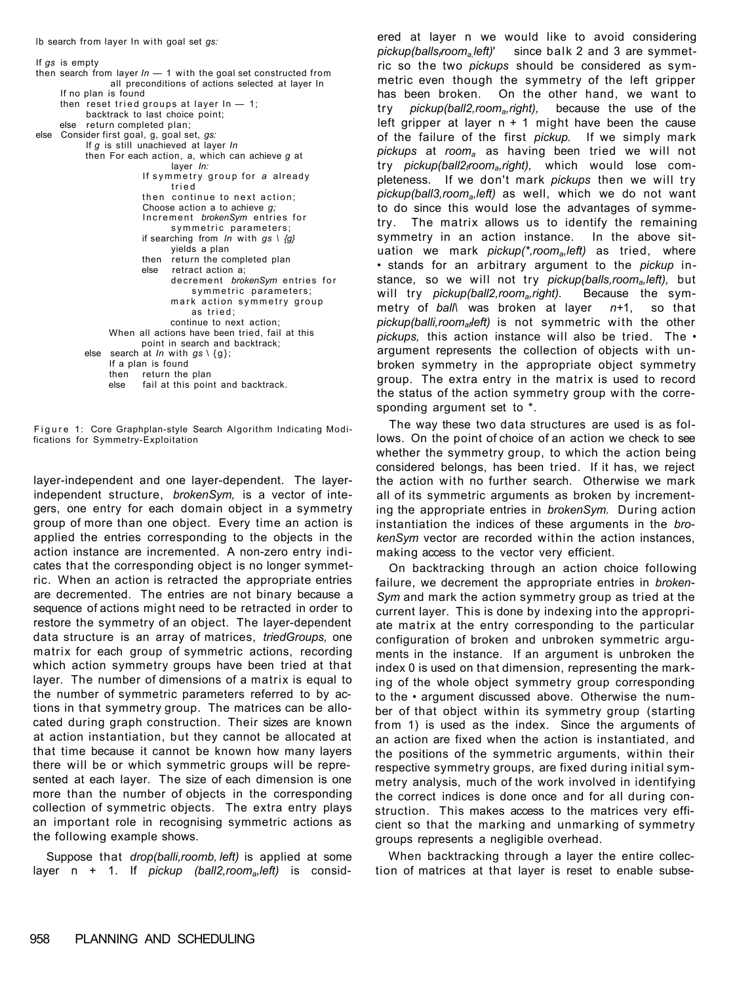If *gs* is empty then search from layer *In* — 1 with the goal set constructed from all preconditions of actions selected at layer In If no plan is found then reset tried groups at layer  $ln - 1$ ; backtrack to last choice point; else return completed plan; else Consider first goal, g, goal set, *gs:*  If *g* is still unachieved at layer *In*  then For each action, a, which can achieve *g* at layer *In:*  If symmetry group for a already trie d then continue to next action: Choose action a to achieve *g;*  Increment brokenSym entries for symmetric parameters; if searching from *In* with *gs \ {g}*  yields a plan then return the completed plan else retract action a; decrement *brokenSvm* entries for symmetric parameters; mark action symmetry group as tried ; continue to next action; When all actions have been tried, fail at this point in search and backtrack; else search at *In* with *gs* \ {g}; If a plan is found<br>then return the then return the plan<br>else fail at this poin fail at this point and backtrack.

Figure 1: Core Graphplan-style Search Algorithm Indicating Modifications for Symmetry-Exploitation

layer-independent and one layer-dependent. The layerindependent structure, *brokenSym,* is a vector of integers, one entry for each domain object in a symmetry group of more than one object. Every time an action is applied the entries corresponding to the objects in the action instance are incremented. A non-zero entry indicates that the corresponding object is no longer symmetric. When an action is retracted the appropriate entries are decremented. The entries are not binary because a sequence of actions might need to be retracted in order to restore the symmetry of an object. The layer-dependent data structure is an array of matrices, *triedGroups,* one matrix for each group of symmetric actions, recording which action symmetry groups have been tried at that layer. The number of dimensions of a matrix is equal to the number of symmetric parameters referred to by actions in that symmetry group. The matrices can be allocated during graph construction. Their sizes are known at action instantiation, but they cannot be allocated at that time because it cannot be known how many layers there will be or which symmetric groups will be represented at each layer. The size of each dimension is one more than the number of objects in the corresponding collection of symmetric objects. The extra entry plays an important role in recognising symmetric actions as the following example shows.

Suppose that *drop(balli,roomb, left)* is applied at some layer n + 1. If *pickup (ball2,rooma,left)* is considered at layer n we would like to avoid considering *pickup(ballsfrooma,left)*' since balk 2 and 3 are symmetric so the two *pickups* should be considered as symmetric even though the symmetry of the left gripper has been broken. On the other hand, we want to try *pickup(ball2,rooma,right),* because the use of the left gripper at layer  $n + 1$  might have been the cause of the failure of the first *pickup.* If we simply mark *pickups* at *rooma* as having been tried we will not try *pickup(ball2frooma,right),* which would lose completeness. If we don't mark *pickups* then we will try *pickup(ball3,rooma,left)* as well, which we do not want to do since this would lose the advantages of symmetry. The matrix allows us to identify the remaining symmetry in an action instance. In the above situation we mark *pickup(\*,rooma,left)* as tried, where • stands for an arbitrary argument to the *pickup* instance, so we will not try *pickup(balls,rooma,left),* but will try *pickup(ball2,rooma,right).* Because the symmetry of *ball\* was broken at layer *n+*1, so that *pickup(balli,roomafleft)* is not symmetric with the other *pickups,* this action instance will also be tried. The • argument represents the collection of objects with unbroken symmetry in the appropriate object symmetry group. The extra entry in the matrix is used to record the status of the action symmetry group with the corresponding argument set to \*.

The way these two data structures are used is as follows. On the point of choice of an action we check to see whether the symmetry group, to which the action being considered belongs, has been tried. If it has, we reject the action with no further search. Otherwise we mark all of its symmetric arguments as broken by incrementing the appropriate entries in *brokenSym.* During action instantiation the indices of these arguments in the *brokenSym* vector are recorded within the action instances, making access to the vector very efficient.

On backtracking through an action choice following failure, we decrement the appropriate entries in *broken-Sym* and mark the action symmetry group as tried at the current layer. This is done by indexing into the appropriate matrix at the entry corresponding to the particular configuration of broken and unbroken symmetric arguments in the instance. If an argument is unbroken the index 0 is used on that dimension, representing the marking of the whole object symmetry group corresponding to the • argument discussed above. Otherwise the number of that object within its symmetry group (starting from 1) is used as the index. Since the arguments of an action are fixed when the action is instantiated, and the positions of the symmetric arguments, within their respective symmetry groups, are fixed during initial symmetry analysis, much of the work involved in identifying the correct indices is done once and for all during construction. This makes access to the matrices very efficient so that the marking and unmarking of symmetry groups represents a negligible overhead.

When backtracking through a layer the entire collection of matrices at that layer is reset to enable subse-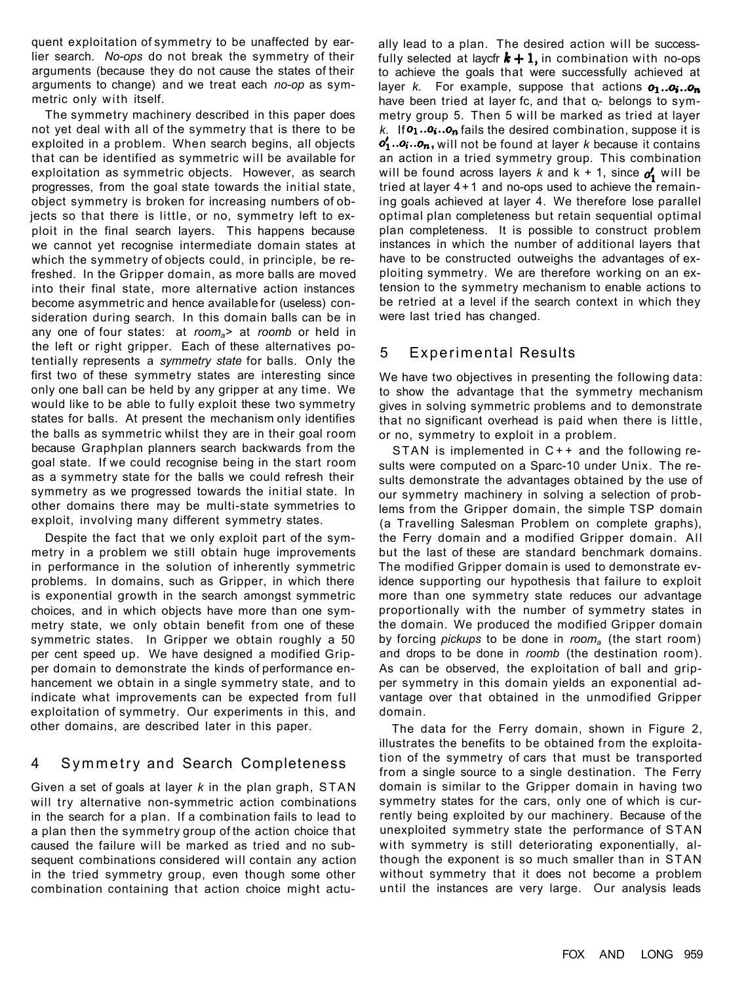quent exploitation of symmetry to be unaffected by earlier search. *No-ops* do not break the symmetry of their arguments (because they do not cause the states of their arguments to change) and we treat each *no-op* as symmetric only with itself.

The symmetry machinery described in this paper does not yet deal with all of the symmetry that is there to be exploited in a problem. When search begins, all objects that can be identified as symmetric will be available for exploitation as symmetric objects. However, as search progresses, from the goal state towards the initial state, object symmetry is broken for increasing numbers of objects so that there is little, or no, symmetry left to exploit in the final search layers. This happens because we cannot yet recognise intermediate domain states at which the symmetry of objects could, in principle, be refreshed. In the Gripper domain, as more balls are moved into their final state, more alternative action instances become asymmetric and hence available for (useless) consideration during search. In this domain balls can be in any one of four states: at *rooma>* at *roomb* or held in the left or right gripper. Each of these alternatives potentially represents a *symmetry state* for balls. Only the first two of these symmetry states are interesting since only one ball can be held by any gripper at any time. We would like to be able to fully exploit these two symmetry states for balls. At present the mechanism only identifies the balls as symmetric whilst they are in their goal room because Graphplan planners search backwards from the goal state. If we could recognise being in the start room as a symmetry state for the balls we could refresh their symmetry as we progressed towards the initial state. In other domains there may be multi-state symmetries to exploit, involving many different symmetry states.

Despite the fact that we only exploit part of the symmetry in a problem we still obtain huge improvements in performance in the solution of inherently symmetric problems. In domains, such as Gripper, in which there is exponential growth in the search amongst symmetric choices, and in which objects have more than one symmetry state, we only obtain benefit from one of these symmetric states. In Gripper we obtain roughly a 50 per cent speed up. We have designed a modified Gripper domain to demonstrate the kinds of performance enhancement we obtain in a single symmetry state, and to indicate what improvements can be expected from full exploitation of symmetry. Our experiments in this, and other domains, are described later in this paper.

# 4 Symmetry and Search Completeness

Given a set of goals at layer *k* in the plan graph, STAN will try alternative non-symmetric action combinations in the search for a plan. If a combination fails to lead to a plan then the symmetry group of the action choice that caused the failure will be marked as tried and no subsequent combinations considered will contain any action in the tried symmetry group, even though some other combination containing that action choice might actu-

ally lead to a plan. The desired action will be successfully selected at laycfr  $k + 1$ , in combination with no-ops to achieve the goals that were successfully achieved at layer *k*. For example, suppose that actions  $o_1 \ldots o_n$ . have been tried at layer fc, and that o- belongs to symmetry group 5. Then 5 will be marked as tried at layer  $k$ . If  $o_1...o_n$  fails the desired combination, suppose it is  $o'_1..o_i..o_n$ , will not be found at layer k because it contains an action in a tried symmetry group. This combination will be found across layers  $k$  and  $k + 1$ , since  $\boldsymbol{\phi}'_1$  will be tried at layer  $4+1$  and no-ops used to achieve the remaining goals achieved at layer 4. We therefore lose parallel optimal plan completeness but retain sequential optimal plan completeness. It is possible to construct problem instances in which the number of additional layers that have to be constructed outweighs the advantages of exploiting symmetry. We are therefore working on an extension to the symmetry mechanism to enable actions to be retried at a level if the search context in which they were last tried has changed.

## 5 Experimental Results

We have two objectives in presenting the following data: to show the advantage that the symmetry mechanism gives in solving symmetric problems and to demonstrate that no significant overhead is paid when there is little, or no, symmetry to exploit in a problem.

STAN is implemented in  $C++$  and the following results were computed on a Sparc-10 under Unix. The results demonstrate the advantages obtained by the use of our symmetry machinery in solving a selection of problems from the Gripper domain, the simple TSP domain (a Travelling Salesman Problem on complete graphs), the Ferry domain and a modified Gripper domain. All but the last of these are standard benchmark domains. The modified Gripper domain is used to demonstrate evidence supporting our hypothesis that failure to exploit more than one symmetry state reduces our advantage proportionally with the number of symmetry states in the domain. We produced the modified Gripper domain by forcing *pickups* to be done in *rooma* (the start room) and drops to be done in *roomb* (the destination room). As can be observed, the exploitation of ball and gripper symmetry in this domain yields an exponential advantage over that obtained in the unmodified Gripper domain.

The data for the Ferry domain, shown in Figure 2, illustrates the benefits to be obtained from the exploitation of the symmetry of cars that must be transported from a single source to a single destination. The Ferry domain is similar to the Gripper domain in having two symmetry states for the cars, only one of which is currently being exploited by our machinery. Because of the unexploited symmetry state the performance of STAN with symmetry is still deteriorating exponentially, although the exponent is so much smaller than in STAN without symmetry that it does not become a problem until the instances are very large. Our analysis leads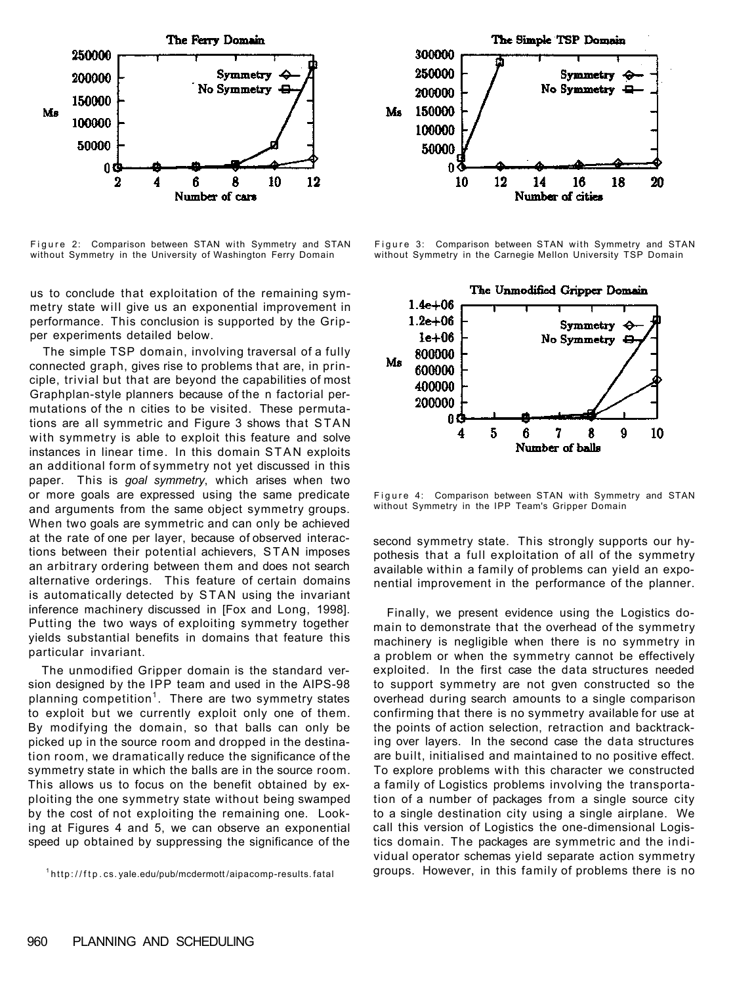

Figure 2: Comparison between STAN with Symmetry and STAN without Symmetry in the University of Washington Ferry Domain

us to conclude that exploitation of the remaining symmetry state will give us an exponential improvement in performance. This conclusion is supported by the Gripper experiments detailed below.

The simple TSP domain, involving traversal of a fully connected graph, gives rise to problems that are, in principle, trivial but that are beyond the capabilities of most Graphplan-style planners because of the n factorial permutations of the n cities to be visited. These permutations are all symmetric and Figure 3 shows that STAN with symmetry is able to exploit this feature and solve instances in linear time. In this domain STAN exploits an additional form of symmetry not yet discussed in this paper. This is *goal symmetry*, which arises when two or more goals are expressed using the same predicate and arguments from the same object symmetry groups. When two goals are symmetric and can only be achieved at the rate of one per layer, because of observed interactions between their potential achievers, STAN imposes an arbitrary ordering between them and does not search alternative orderings. This feature of certain domains is automatically detected by STAN using the invariant inference machinery discussed in [Fox and Long, 1998]. Putting the two ways of exploiting symmetry together yields substantial benefits in domains that feature this particular invariant.

The unmodified Gripper domain is the standard version designed by the IPP team and used in the AIPS-98 planning competition<sup>1</sup>. There are two symmetry states to exploit but we currently exploit only one of them. By modifying the domain, so that balls can only be picked up in the source room and dropped in the destination room, we dramatically reduce the significance of the symmetry state in which the balls are in the source room. This allows us to focus on the benefit obtained by exploiting the one symmetry state without being swamped by the cost of not exploiting the remaining one. Looking at Figures 4 and 5, we can observe an exponential speed up obtained by suppressing the significance of the

<sup>1</sup>http://ftp.cs.yale.edu/pub/mcdermott/aipacomp-results.fatal



Figure 3: Comparison between STAN with Symmetry and STAN without Symmetry in the Carnegie Mellon University TSP Domain



Figure 4: Comparison between STAN with Symmetry and STAN without Symmetry in the IPP Team's Gripper Domain

second symmetry state. This strongly supports our hypothesis that a full exploitation of all of the symmetry available within a family of problems can yield an exponential improvement in the performance of the planner.

Finally, we present evidence using the Logistics domain to demonstrate that the overhead of the symmetry machinery is negligible when there is no symmetry in a problem or when the symmetry cannot be effectively exploited. In the first case the data structures needed to support symmetry are not gven constructed so the overhead during search amounts to a single comparison confirming that there is no symmetry available for use at the points of action selection, retraction and backtracking over layers. In the second case the data structures are built, initialised and maintained to no positive effect. To explore problems with this character we constructed a family of Logistics problems involving the transportation of a number of packages from a single source city to a single destination city using a single airplane. We call this version of Logistics the one-dimensional Logistics domain. The packages are symmetric and the individual operator schemas yield separate action symmetry groups. However, in this family of problems there is no